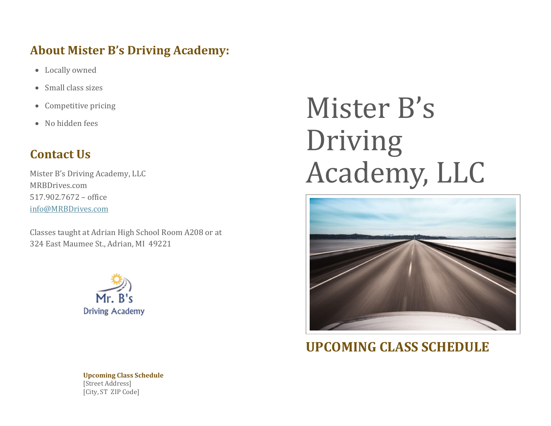## **About Mister B's Driving Academy:**

- Locally owned
- Small class sizes
- Competitive pricing
- No hidden fees

## **Contact Us**

Mister B's Driving Academy, LLC MRBDrives.com 517.902.7672 – office [info@MRBDrives.com](mailto:info@MRBDrives.com)

Classes taught at Adrian High School Room A208 or at 324 East Maumee St., Adrian, MI 49221



# Mister B's Driving Academy, LLC



**UPCOMING CLASS SCHEDULE**

**Upcoming Class Schedule** [Street Address] [City, ST ZIP Code]